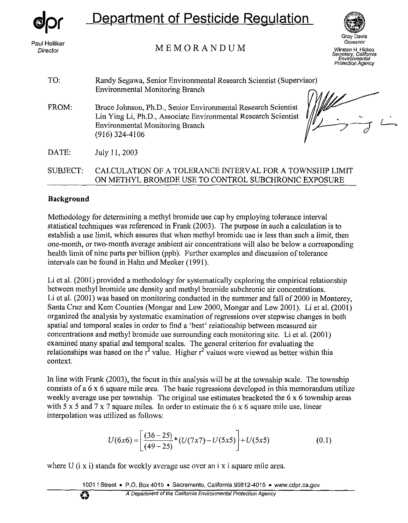

# Department of Pesticide Regulation



MEMORANDUM Paul Helliker

Grav Davis Governor *Director* Winston H. **Hickox**  *Secretary Cahfornia Envirohmental* 

| TO:      | Randy Segawa, Senior Environmental Research Scientist (Supervisor)<br>Environmental Monitoring Branch                                                                                         |
|----------|-----------------------------------------------------------------------------------------------------------------------------------------------------------------------------------------------|
| FROM:    | Bruce Johnson, Ph.D., Senior Environmental Research Scientist<br>Lin Ying Li, Ph.D., Associate Environmental Research Scientist<br><b>Environmental Monitoring Branch</b><br>$(916)$ 324-4106 |
| DATE:    | July 11, 2003                                                                                                                                                                                 |
| SUBJECT: | CALCULATION OF A TOLERANCE INTERVAL FOR A TOWNSHIP LIMIT<br>ON METHYL BROMIDE USE TO CONTROL SUBCHRONIC EXPOSURE                                                                              |

### **Background**

Methodology for determining a methyl bromide use cap by employing tolerance interval statistical techniques was referenced in Frank (2003). The purpose in such a calculation is to establish a use limit, which assures that when methyl bromide use is less than such a limit, then one-month, or two-month average ambient air concentrations will also be below a corresponding health limit of nine parts per billion (ppb). Further examples and discussion of tolerance intervals can be found in Hahn and Meeker (1991).

Li et al. (2001) provided a methodology for systematically exploring the empirical relationship between methyl bromide use density and methyl bromide subchronic air concentrations. Li et al. (2001) was based on monitoring conducted in the summer and fall of 2000 in Monterey, Santa Cruz and Kern Counties (Mongar and Lew 2000, Mongar and Lew 2001). Li et al. (2001) organized the analysis by systematic examination of regressions over stepwise changes in both spatial and temporal scales in order to find a 'best' relationship between measured air concentrations and methyl bromide use surrounding each monitoring site. Li et al. (2001) examined many spatial and temporal scales. The general criterion for evaluating the relationships was based on the  $r^2$  value. Higher  $r^2$  values were viewed as better within this context.

In line with Frank (2003), the focus in this analysis will be at the township scale. The township consists of a 6 **x** 6 square mile area. The basic regressions developed in this memorandum utilize weekly average use per township. The original use estimates bracketed the 6 x 6 township areas with *5* x *5* and 7 x 7 square miles. In order to estimate the 6 **x** 6 square mile use, linear interpolation was utilized as follows:

$$
U(6x6) = \left[\frac{(36-25)}{(49-25)} * (U(7x7) - U(5x5)\right] + U(5x5)
$$
 (0.1)

where U  $(i \times i)$  stands for weekly average use over an i x i square mile area.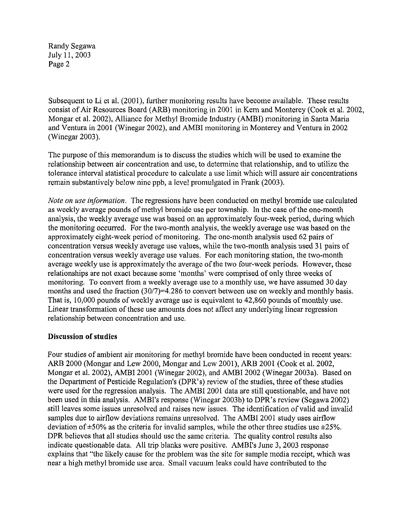Subsequent to Li et al. (2001), further monitoring results have become available. These results consist of Air Resources Board (ARB) monitoring in 2001 in Kern and Monterey (Cook et al. 2002, Mongar et al. 2002), Alliance for Methyl Bromide Industry (AMBI) monitoring in Santa Maria and Ventura in 2001 (Winegar 2002), and AMBI monitoring in Monterey and Ventura in 2002 (Winegar 2003).

The purpose of this memorandum is to discuss the studies which will be used to examine the relationship between air concentration and use, *to* determine that relationship, and to utilize the tolerance interval statistical procedure to calculate a use limit which will assure air concentrations remain substantively below nine ppb, a level promulgated in Frank (2003).

*Note on use information.* The regressions have been conducted on methyl bromide use calculated as weekly average pounds of methyl bromide use per township. In the case of the one-month analysis, the weekly average use was based on an approximately four-week period, during which the monitoring occurred. For the two-month analysis, the weekly average use was based on the approximately eight-week period of monitoring. The one-month analysis used 62 pairs of concentration versus weekly average use values, while the two-month analysis used 31 pairs of concentration versus weekly average use values. For each monitoring station, the two-month average weekly use is approximately the average of the two four-week periods. However, these relationships are not exact because some 'months' were comprised of only three weeks of monitoring. To convert from a weekly average use to a monthly use, we have assumed 30 day months and used the fraction (30/7)=4.286 to convert between use on weekly and monthly basis. That is, 10,000 pounds of weekly average use is equivalent to 42,860 pounds of monthly use. Linear transformation of these use amounts does not affect any underlying linear regression relationship between concentration and use.

#### **Discussion of studies**

Four studies of ambient air monitoring for methyl bromide have been conducted in recent years: ARB 2000 (Mongar and Lew 2000, Mongar and Lew 2001), ARB 2001 (Cook et al. 2002, Mongar et al. 2002), AMBI 2001 (Winegar 2002), and AMBI 2002 (Winegar 2003a). Based on the Department of Pesticide Regulation's (DPR's) review of the studies, three of these studies were used for the regression analysis. The AMBI 2001 data are still questionable, and have not been used in this analysis. AMBI's response (Winegar 2003b) to DPR's review (Segawa 2002) still leaves some issues unresolved and raises new issues. The identification of valid and invalid samples due to airflow deviations remains unresolved. The AMBI 2001 study uses airflow deviation of  $\pm 50\%$  as the criteria for invalid samples, while the other three studies use  $\pm 25\%$ . DPR believes that all studies should use the same criteria. The quality control results also indicate questionable data. All trip blanks were positive. AMBI's June 3, 2003 response explains that "the likely cause for the problem was the site for sample media receipt, which was near a high methyl bromide use area. Small vacuum leaks could have contributed to the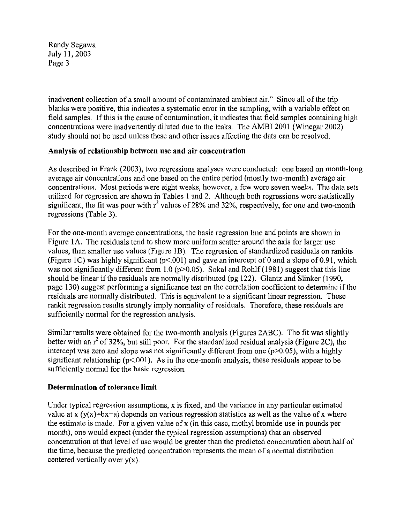inadvertent collection of a small amount of contaminated ambient air." Since all of the trip blanks were positive, this indicates a systematic error in the sampling, with a variable effect on field samples. If this is the cause of contamination, it indicates that field samples containing high concentrations were inadvertently diluted due to the leaks. The AMBI 2001 (Winegar 2002) study should not be used unless these and other issues affecting the data can be resolved.

### **Analysis of relationship between use and air concentration**

As described in Frank (2003), two regressions analyses were conducted: one based on month-long average air concentrations and one based on the entire period (mostly two-month) average air concentrations. Most periods were eight weeks, however, a few were seven weeks. The data sets utilized for regression are shown in Tables 1 and 2. Although both regressions were statistically significant, the fit was poor with  $r^2$  values of 28% and 32%, respectively, for one and two-month regressions (Table **3).** 

For the one-month average concentrations, the basic regression line and points are shown in Figure IA. The residuals tend to show more uniform scatter around the axis for larger use values, than smaller use values (Figure IB). The regression of standardized residuals on rankits (Figure 1C) was highly significant ( $p<0.01$ ) and gave an intercept of 0 and a slope of 0.91, which was not significantly different from 1.0 ( $p > 0.05$ ). Sokal and Rohlf (1981) suggest that this line should be linear if the residuals are normally distributed (pg 122). Glantz and Slinker (1990, page 130) suggest performing a significance test on the correlation coefficient to determine if the residuals are normally distributed. This is equivalent to a significant linear regression. These rankit regression results strongly imply normality of residuals. Therefore, these residuals are sufficiently normal for the regression analysis.

Similar results were obtained for the two-month analysis (Figures 2ABC). The fit was slightly better with an  $r^2$  of 32%, but still poor. For the standardized residual analysis (Figure 2C), the intercept was zero and slope was not significantly different from one *(p>O.OS),* with a highly significant relationship ( $p<0.01$ ). As in the one-month analysis, these residuals appear to be sufficiently normal for the basic regression.

## **Determination of tolerance limit**

Under typical regression assumptions, x is fixed, and the variance in any particular estimated value at **x** (y(x)=bx+a) depends on various regression statistics as well as the value of **x** where the estimate is made. For a given value of x (in this case, methyl bromide use in pounds per month), one would expect (under the typical regression assumptions) that an observed concentration at that level of use would be greater than the predicted concentration about half of the time, because the predicted concentration represents the mean of a normal distribution centered vertically over y(x).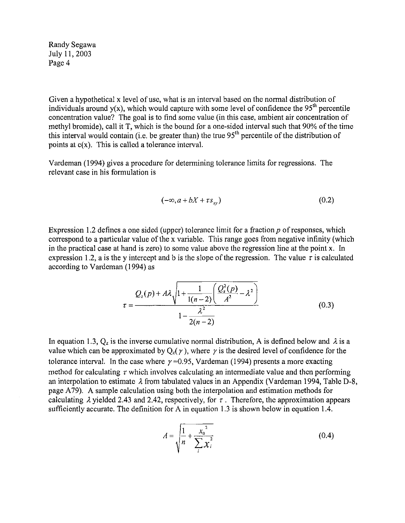Given a hypothetical x level of use, what is an interval based on the normal distribution of individuals around  $y(x)$ , which would capture with some level of confidence the 95<sup>th</sup> percentile concentration value? The goal is to find some value (in this case, ambient air concentration of methyl bromide), call it T, which is the bound for a one-sided interval such that 90% of the time this interval would contain (i.e. be greater than) the true  $95<sup>th</sup>$  percentile of the distribution of points at c(x). This is called a tolerance interval.

Vardeman (1994) gives a procedure for determining tolerance limits for regressions. The relevant case in his formulation is

$$
(-\infty, a + bX + \tau s_{xy}) \tag{0.2}
$$

Expression 1.2 defines a one sided (upper) tolerance limit for a fraction  $p$  of responses, which correspond to a particular value of the **x** variable. This range goes from negative infinity (which in the practical case at hand is zero) to some value above the regression line at the point x. In expression 1.2, a is the y intercept and b is the slope of the regression. The value  $\tau$  is calculated according to Vardeman (1994) as

$$
\tau = \frac{Q_z(p) + A\lambda \sqrt{1 + \frac{1}{1(n-2)} \left(\frac{Q_z^2(p)}{A^2} - \lambda^2\right)}}{1 - \frac{\lambda^2}{2(n-2)}}
$$
(0.3)

In equation 1.3,  $Q_z$  is the inverse cumulative normal distribution, A is defined below and  $\lambda$  is a value which can be approximated by  $Q_z(y)$ , where y is the desired level of confidence for the tolerance interval. In the case where  $\gamma = 0.95$ , Vardeman (1994) presents a more exacting method for calculating  $\tau$  which involves calculating an intermediate value and then performing an interpolation to estimate *A* from tabulated values in an Appendix (Vardeman 1994, Table D-8, page A79). A sample calculation using both the interpolation and estimation methods for calculating  $\lambda$  yielded 2.43 and 2.42, respectively, for  $\tau$ . Therefore, the approximation appears sufficiently accurate. The definition for A in equation 1.3 is shown below in equation 1.4.

$$
A = \sqrt{\frac{1}{n} + \frac{x_0^2}{\sum_i x_i^2}}
$$
 (0.4)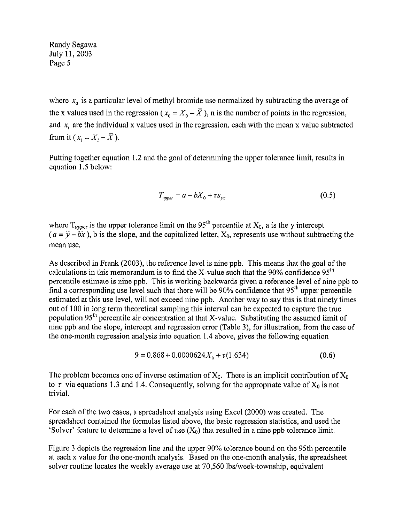where  $x_0$  is a particular level of methyl bromide use normalized by subtracting the average of the x values used in the regression ( $x_0 = X_0 - \overline{X}$ ), n is the number of points in the regression, and  $x_i$  are the individual x values used in the regression, each with the mean x value subtracted from it  $(x_i = X_i - \overline{X})$ .

Putting together equation 1.2 and the goal of determining the upper tolerance limit, results in equation 1.5 below:

$$
T_{upper} = a + bX_0 + \tau s_{yx} \tag{0.5}
$$

where  $T_{upper}$  is the upper tolerance limit on the 95<sup>th</sup> percentile at  $X_0$ , a is the y intercept  $(a = \overline{y} - b\overline{x})$ , b is the slope, and the capitalized letter,  $X_0$ , represents use without subtracting the mean use.

As described in Frank (2003), the reference level is nine ppb. This means that the goal of the calculations in this memorandum is to find the X-value such that the 90% confidence  $95<sup>th</sup>$ percentile estimate is nine ppb. This is working backwards given a reference level of nine ppb to find a corresponding use level such that there will be 90% confidence that 95'h upper percentile estimated at this use level, will not exceed nine ppb. Another way to say this is that ninety times out of 100 in long term theoretical sampling this interval can be expected to capture the true population 95<sup>th</sup> percentile air concentration at that X-value. Substituting the assumed limit of nine ppb and the slope, intercept and regression error (Table 3), for illustration, from the case of the one-month regression analysis into equation 1.4 above, gives the following equation

$$
9 = 0.868 + 0.0000624X_0 + \tau(1.634)
$$
 (0.6)

The problem becomes one of inverse estimation of  $X_0$ . There is an implicit contribution of  $X_0$ to  $\tau$  via equations 1.3 and 1.4. Consequently, solving for the appropriate value of  $X_0$  is not trivial.

For each of the two cases, a spreadsheet analysis using Excel (2000) was created. The spreadsheet contained the formulas listed above, the basic regression statistics, and used the 'Solver' feature to determine a level of use  $(X_0)$  that resulted in a nine ppb tolerance limit.

Figure **3** depicts the regression line and the upper 90% tolerance bound on the 95th percentile at each x value for the one-month analysis. Based on the one-month analysis, the spreadsheet solver routine locates the weekly average use at 70,560 lbs/week-township, equivalent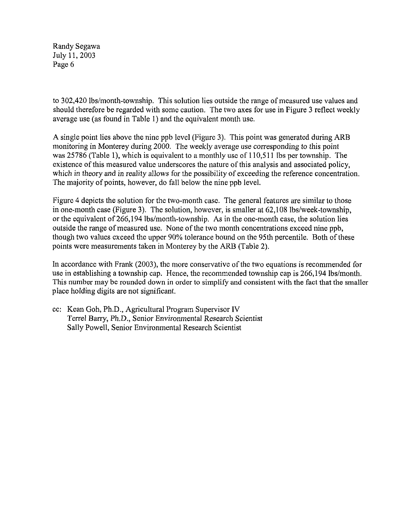to 302,420 lbs/month-township. This solution lies outside the range of measured use values and should therefore be regarded with some caution. The two axes for use in Figure 3 reflect weekly average use (as found in Table I) and the equivalent month use.

A single point lies above the nine ppb level (Figure 3). This point was generated during ARB monitoring in Monterey during 2000. The weekly average use corresponding *to* this point was 25786 (Table l), which is equivalent to **a** monthly use of 110,5 11 Ibs per township. The existence of this measured value underscores the nature of this analysis and associated policy, which in theory and in reality allows for the possibility of exceeding the reference concentration. The majority of points, however, do fall below the nine ppb level.

Figure 4 depicts the solution for the two-month case. The general features are similar to those in one-month case (Figure 3). The solution, however, is smaller at  $62,108$  lbs/week-township, or the equivalent of 266,194 lbs/month-township. As in the one-month case, the solution lies outside the range of measured use. None of the two month concentrations exceed nine ppb, though two values exceed the upper 90% tolerance bound on the 95th percentile. Both of these points were measurements taken in Monterey by the *ARB* (Table 2).

In accordance with Frank (2003), the more conservative of the two equations is recommended for use in establishing a township cap. Hence, the recommended township cap is  $266,194$  lbs/month. This number may be rounded down in order to simplify and consistent with the fact that the smaller place holding digits are not significant.

cc: Kean Goh, Ph.D., Agricultural Program Supervisor IV Terrel Barry, Ph.D., Senior Environmental Research Scientist Sally Powell, Senior Environmental Research Scientist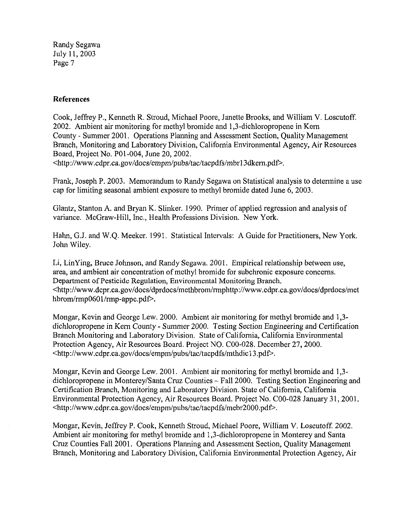#### **References**

Cook, Jeffrey P., Kenneth R. Stroud, Michael Poore, Janette Brooks, and William V. Loscutoff. 2002. Ambient air monitoring for methyl bromide and 1,3-dichloropropene in Kern County - Summer 2001. Operations Planning and Assessment Section, Quality Management Branch, Monitoring and Laboratory Division, California Environmental Agency, Air Resource Board, Project No. Pol-004, June 20,2002.

 $\lt$ http://www.cdpr.ca.gov/docs/empm/pubs/tac/tacpdfs/mbr13dkern.pdf>.

Frank, Joseph P. 2003. Memorandum to Randy Segawa on Statistical analysis to determine a use cap for limiting seasonal ambient exposure to methyl bromide dated June 6,2003.

Glantz, Stanton A. and Bryan K. Slinker. 1990. Primer of applied regression and analysis o variance. McGraw-Hill, Inc., Health Professions Division. New York.

Habn, G.J. and W.Q. Meeker. 1991. Statistical Intervals: A Guide for Practitioners, New York. John Wiley.

Li, LinYing, Bruce Johnson, and Randy Segawa. 2001. Empirical relationship between use, area, and ambient air concentration of methyl bromide for subchronic exposure concerns. Department of Pesticide Regulation, Environmental Monitoring Branch.  $\langle$ http://www.dcpr.ca.gov/docs/dprdocs/methbrom/rmphttp://www.cdpr.ca.gov/docs/dprdocs/met **hbrom/rmp0601/rmp-appc.pdP.** 

Mongar, Kevin and George Lew. 2000. Ambient air monitoring for methyl bromide and 1,3 dichloropropene in Kern County - Summer 2000. Testing Section Engineering and Certification Branch Monitoring and Laboratory Division. State of California, California Environmental Protection Agency, Air Resources Board. Project NO. COO-028. December 27,2000. **[<http://www.cdpr.ca,gov/docs/empmlpubs/tac/tacpdfs/mthdic13.p](http://www.cdpr.ca,gov/docs/empmlpubs/tac/tacpdfs/mthdic13.pdP)dP.** 

Mongar, Kevin and George Lew. 2001. Ambient air monitoring for methyl bromide and 1,3 dichloropropene in Monterey/Santa Cruz Counties - Fall 2000. Testing Section Engineering and Certification Branch, Monitoring and Laboratory Division. State **of** California, California Environmental Protection Agency, Air Resources Board. Project No. COO-028 January 31,2001. **~http://www.cdpr.ca.govldocs/empmipubs/tac/tacpdfs/mebr2OOO.pdP.** 

Mongar, Kevin, Jeffrey P. Cook, Kenneth Stroud, Michael Poore, William V. Loscutoff. 2002. Ambient air monitoring for methyl bromide and 1,3-dichloropropene in Monterey and Santa Cruz Counties Fall 2001. Operations Planning and Assessment Section, Quality Management Branch, Monitoring and Laboratory Division, California Environmental Protection Agency, Air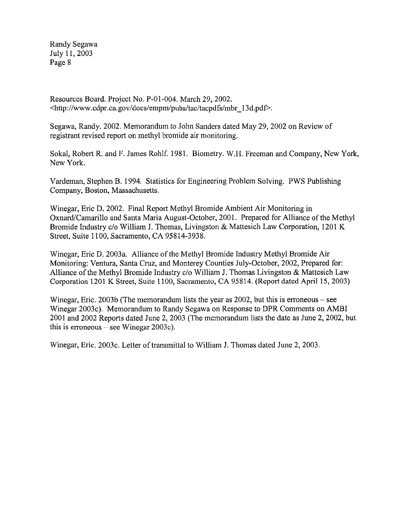Resources Board. Project No. P-01-004. March 29,2002. <http://www.cdpr.ca.gov/docs/empm/pubs/tac/tacpdfs/mbr-13d.pd~.

Segawa, Randy. 2002. Memorandum to John Sanders dated May 29,2002 on Review of registrant revised report on methyl bromide air monitoring.

Sokal, Robert R. and F. James Rohlf. 1981. Biometry. W.H. Freeman and Company, New York, New York.

Vardeman, Stephen B. 1994. Statistics for Engineering Problem Solving. PWS Publishing Company, Boston, Massachusetts.

Winegar, Eric D. 2002. Final Report Methyl Bromide Ambient Air Monitoring in Oxnard/Camarillo and Santa Maria August-October, 2001. Prepared for Alliance of the Methyl Bromide Industry c/o William J. Thomas, Livingston & Mattesich Law Corporation, 1201 K Street, Suite 1100, Sacramento, CA 95814-3938.

Winegar, Eric D. 2003a. Alliance of the Methyl Bromide Industry Methyl Bromide Air Monitoring: Ventura, Santa Cruz, and Monterey Counties July-October, 2002, Prepared for: Alliance of the Methyl Bromide Industry c/o William J. Thomas Livingston & Mattesich Law Corporation 1201 K Street, Suite 1100, Sacramento, CA 95814. (Report dated April 15,2003)

Winegar, Eric. 2003b (The memorandum lists the year as  $2002$ , but this is erroneous – see Winegar 2003c). Memorandum to Randy Segawa on Response to DPR Comments on AMBI 2001 and 2002 Reports dated June 2,2003 (The memorandum lists the date as June 2,2002, but this is erroneous  $-$  see Winegar 2003 $c$ ).

Winegar, Eric. 2003c. Letter of transmittal to William J. Thomas dated June 2, 2003.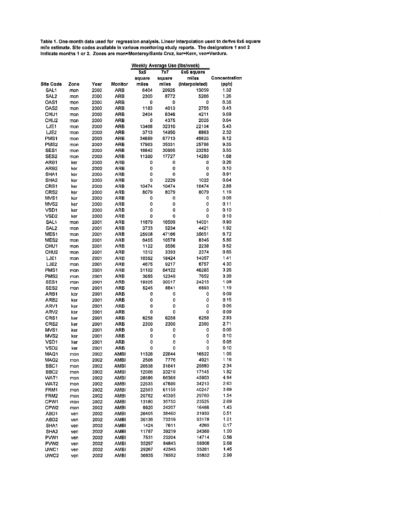**Table 1.One-month data used for** regression **analysis. Llnear lnlerpolatlon used to derive 6x6 square mile estimate. Slte codes available In varlous monltorlng study reports.** The **deslgnators 1 and 2 Indicate months 1 or 2. Zones are mon-MonlereylSanta Cruz, ket-Kern, ven=Ventura.** 

|                          |            |              |              | Weekly Average Use (Ibs/week) |                |                |               |
|--------------------------|------------|--------------|--------------|-------------------------------|----------------|----------------|---------------|
|                          |            |              |              | 5x5                           | 7x7            | 6x6 square     |               |
|                          |            |              |              | square                        | square         | miles          | Concentration |
| Site Code                | Zone       | Year         | Monitor      | miles                         | miles          | (Interpolated) | (ppb)         |
| SAL1                     | mon        | 2000         | ARB          | 6404                          | 20925          | 13059          | 1.32          |
| SAL2                     | mon        | 2000         | ARB          | 2300                          | 8772           | 5266           | 1.26          |
| OAS1                     | mon        | 2000         | ARB          | 0                             | 0              | 0              | 0.35          |
| OAS2                     | mon        | 2000         | ARB          | 1183                          | 4613           | 2755           | 0.43          |
| CHU <sub>1</sub>         | mon        | 2000         | ARB          | 2404                          | 6346           | 4211           | 0.69          |
| CHU <sub>2</sub>         | mon        | 2000         | ARB          | 0                             | 4375           | 2005           | 0.64          |
| LJE1                     | mon        | 2000         | ARB          | 13468                         | 32310          | 22104          | 5.43          |
| LJE2                     | mon        | 2000         | ARB          | 3713                          | 14950          | 8863           | 2.32          |
| PMS1                     | mon        | 2000         | ARB          | 34689                         | 67713          | 49825          | 6.12          |
| PMS <sub>2</sub>         | mon        | 2000         | ARB          | 17963                         | 35031          | 25786          | 9.35          |
| SES1                     | mon        | 2000         | ARB          | 16842                         | 30895          | 23283          | 3.55          |
| SES2                     | mon        | 2000         | ARB          | 11380                         | 17727          | 14289          | 1.68          |
| ARB1                     | ker        | 2000         | ARB          | 0                             | 0              | 0              | 0.26          |
| ARB2                     | ker        | 2000         | ARB          | 0                             | 0              | 0              | 0.10          |
| SHA1                     | ker        | 2000         | ARB          | 0                             | 0              | 0              | 0.91          |
| SHA <sub>2</sub>         | ker        | 2000         | ARB          | 0                             | 2229           | 1022           | 0.64          |
| CRS1                     | ker        | 2000         | ARB          | 10474                         | 10474          | 10474          | 2.88          |
| CRS <sub>2</sub>         | ker        | 2000         | ARB          | 8079                          | 8079           | 8079           | 1.19          |
| MVS <sub>1</sub>         | ker        | 2000         | ARB          | 0                             | 0              | 0              | 0.08          |
| MVS2                     | ker        | 2000         | ARB          | 0                             | 0              | 0              | 0.11          |
| VSD <sub>1</sub>         | ker        | 2000         | ARB          | 0                             | 0              | 0              | 0.10          |
| VSD2                     | ker        | 2000         | ARB          | 0                             | 0              | 0              | 0.10          |
| <b>SAL1</b>              | mon        | 2001         | ARB          | 11879                         | 16509          | 14001          | 0.90          |
| SAL <sub>2</sub>         | mon        | 2001         | ARB          | 3733                          | 5234           | 4421           | 1.92          |
| MES <sub>1</sub>         | mon        | 2001         | ARB          | 25908                         | 47166          | 35651          | 6.72          |
| MES <sub>2</sub>         | mon        | 2001         | ARB          | 6455                          | 10578          | 8345           | 5.56          |
| CHU <sub>1</sub>         | mon        | 2001         | ARB          | 1122                          | 3556           | 2238           | 0.52          |
| CHU2                     | mon        | 2001         | ARB          | 1512                          | 3393           | 2374           | 0.65          |
| LJE1                     | mon        | 2001         | ARB          | 10362                         | 18424          | 14057          | 1.41          |
| LJE2                     | mon        | 2001         | ARB          | 4675                          | 9217           | 6757           | 4.30          |
| PMS1                     | mon        | 2001         | ARB          | 31192                         | 64122          | 46285          | 3.26          |
| PMS2                     | mon        | 2001         | ARB          | 3685                          | 12340          | 7652           | 3.36          |
| SES <sub>1</sub>         | mon        | 2001         | ARB          | 19305                         | 30017          | 24215          | 1.09          |
| SES <sub>2</sub>         | mon        | 2001         | ARB          | 5245                          | 8841           | 6893           | 1.19          |
| ARB1                     | ker        | 2001         | ARB          | 0                             | 0              | 0              | 0.09          |
| ARB2                     | ker        | 2001         | ARB          | 0                             | 0              | 0              | 0.15          |
| ARV1                     | ker        | 2001         | ARB          | 0                             | 0              | ٥              | 0.06          |
| ARV2                     | ker        | 2001         | ARB          | 0                             | 0              | ٥              | 0.09          |
| CRS1                     | ker        | 2001         | ARB          | 6258                          | 6258           | 6258           | 2.83          |
| CRS <sub>2</sub>         | ker        | 2001         | ARB          | 2300                          | 2300           | 2300           | 2.71          |
| MVS1                     | ker        | 2001         | ARB          | 0                             | 0              | ٥              | 0.05          |
| MVS2                     | ker        | 2001         | ARB          | 0                             | 0              | ٥              | 0.10          |
| VSD1                     | ker        | 2001         | ARB          | 0                             | 0              | 0              | 0.05          |
| VSD2                     | ker        | 2001         | ARB          | ٥                             | 0              | 0<br>16622     | 0.10<br>1.06  |
| MAO1<br>MAQ2             | mon        | 2002         | AMBI         | 11526<br>2506                 | 22644<br>7776  | 4921           | 1.19          |
|                          | mon        | 2002         | <b>AMBI</b>  |                               |                |                |               |
| BBC1                     | mon        | 2002         | AMBI<br>AMBI | 20636<br>12006                | 31641<br>23219 | 25680<br>17145 | 2.34<br>1.82  |
| BBC <sub>2</sub><br>WAT1 | mon        | 2002<br>2002 | <b>AMBI</b>  | 28586                         | 66368          | 45903          | 494           |
| WAT2                     | mon        | 2002         | AMBI         | 22635                         | 47889          | 34210          | 2.63          |
| FRM1                     | mon        | 2002         | AMBI         | 22553                         | 61159          | 40247          | 3.69          |
| FRM2                     | mon        | 2002         | AMBI         | 20762                         | 40395          | 29760          | 1.54          |
| CPW1                     | mon        | 2002         | <b>AMBI</b>  | 13180                         | 35750          | 23525          | 2.69          |
| CPW2                     | mon        | 2002         | AMBI         | 9920                          | 24207          | 16468          | 1.43          |
| ABD1                     | mon<br>ven | 2002         | AMBI         | 26405                         | 38460          | 31930          | 0.51          |
| ABD <sub>2</sub>         | ven        | 2002         | <b>AMBI</b>  | 36136                         | 73318          | 53178          | 1.01          |
| SHA1                     | ven        | 2002         | AMBI         | 1424                          | 7611           | 4260           | 0.17          |
| SHA <sub>2</sub>         | ven        | 2002         | AMBI         | 11787                         | 39219          | 24360          | 1.00          |
| PW <sub>1</sub>          | ven        | 2002         | <b>AMBI</b>  | 7531                          | 23204          | 14714          | 0.56          |
| PWW2                     | ven        | 2002         | AMBI         | 35297                         | 84843          | 58006          | 2.68          |
| UWC1                     | ven        | 2002         | AMBI         | 29267                         | 42345          | 35261          | 145           |
| UWC2                     | ven        | 2002         | AMBI         | 36635                         | 78562          | 55852          | 2.99          |
|                          |            |              |              |                               |                |                |               |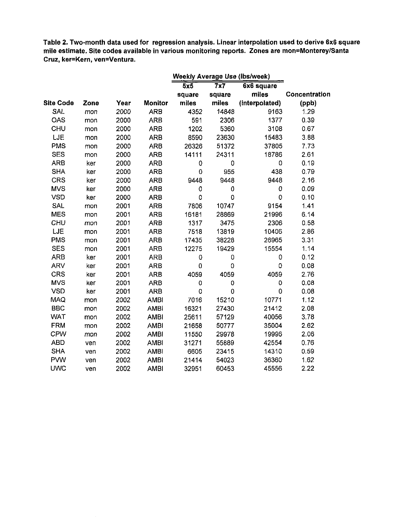**Table 2. Two-month data used for regression analysis. Linear interpolation used to derive 6x6 square mile estimate. Site codes available in various monitoring reports. Zones are mon=MontereylSanta Cruz, ker=Kern. ven=Ventura.** 

|                  |      |      |                | Weekly Average Use (lbs/week) |                |                |               |
|------------------|------|------|----------------|-------------------------------|----------------|----------------|---------------|
|                  |      |      |                | 5x5                           | 7x7            | 6x6 square     |               |
|                  |      |      |                | square                        | square         | miles          | Concentration |
| <b>Site Code</b> | Zone | Year | <b>Monitor</b> | miles                         | miles          | (interpolated) | (ppb)         |
| <b>SAL</b>       | mon  | 2000 | <b>ARB</b>     | 4352                          | 14848          | 9163           | 1.29          |
| OAS              | mon  | 2000 | <b>ARB</b>     | 591                           | 2306           | 1377           | 0.39          |
| CHU              | mon  | 2000 | <b>ARB</b>     | 1202                          | 5360           | 3108           | 0.67          |
| LJE              | mon  | 2000 | <b>ARB</b>     | 8590                          | 23630          | 15483          | 3.88          |
| <b>PMS</b>       | mon  | 2000 | <b>ARB</b>     | 26326                         | 51372          | 37805          | 7.73          |
| <b>SES</b>       | mon  | 2000 | <b>ARB</b>     | 14111                         | 24311          | 18786          | 2.61          |
| <b>ARB</b>       | ker  | 2000 | <b>ARB</b>     | 0                             | 0              | 0              | 0.19          |
| <b>SHA</b>       | ker  | 2000 | <b>ARB</b>     | 0                             | 955            | 438            | 0.79          |
| <b>CRS</b>       | ker  | 2000 | <b>ARB</b>     | 9448                          | 9448           | 9448           | 2.16          |
| <b>MVS</b>       | ker  | 2000 | <b>ARB</b>     | 0                             | $\mathbf 0$    | 0              | 0.09          |
| <b>VSD</b>       | ker  | 2000 | <b>ARB</b>     | 0                             | 0              | $\mathbf 0$    | 0.10          |
| <b>SAL</b>       | mon  | 2001 | <b>ARB</b>     | 7806                          | 10747          | 9154           | 1.41          |
| <b>MES</b>       | mon  | 2001 | <b>ARB</b>     | 16181                         | 28869          | 21996          | 6.14          |
| CHU              | mon  | 2001 | <b>ARB</b>     | 1317                          | 3475           | 2306           | 0.58          |
| LJE              | mon  | 2001 | <b>ARB</b>     | 7518                          | 13819          | 10406          | 2.86          |
| <b>PMS</b>       | mon  | 2001 | <b>ARB</b>     | 17435                         | 38228          | 26965          | 3.31          |
| <b>SES</b>       | mon  | 2001 | <b>ARB</b>     | 12275                         | 19429          | 15554          | 1.14          |
| <b>ARB</b>       | ker  | 2001 | <b>ARB</b>     | 0                             | 0              | 0              | 0.12          |
| ARV              | ker  | 2001 | <b>ARB</b>     | 0                             | 0              | 0              | 0.08          |
| <b>CRS</b>       | ker  | 2001 | <b>ARB</b>     | 4059                          | 4059           | 4059           | 2.76          |
| <b>MVS</b>       | ker  | 2001 | <b>ARB</b>     | 0                             | $\overline{0}$ | $\mathbf 0$    | 0.08          |
| <b>VSD</b>       | ker  | 2001 | <b>ARB</b>     | 0                             | 0              | $\mathbf 0$    | 0.08          |
| MAQ              | mon  | 2002 | <b>AMBI</b>    | 7016                          | 15210          | 10771          | 1.12          |
| <b>BBC</b>       | mon  | 2002 | <b>AMBI</b>    | 16321                         | 27430          | 21412          | 2.08          |
| <b>WAT</b>       | mon  | 2002 | <b>AMBI</b>    | 25611                         | 57129          | 40056          | 3.78          |
| <b>FRM</b>       | mon  | 2002 | <b>AMBI</b>    | 21658                         | 50777          | 35004          | 2.62          |
| <b>CPW</b>       | mon  | 2002 | <b>AMBI</b>    | 11550                         | 29978          | 19996          | 2.06          |
| <b>ABD</b>       | ven  | 2002 | <b>AMBI</b>    | 31271                         | 55889          | 42554          | 0.76          |
| <b>SHA</b>       | ven  | 2002 | <b>AMBI</b>    | 6605                          | 23415          | 14310          | 0.59          |
| <b>PVW</b>       | ven  | 2002 | <b>AMBI</b>    | 21414                         | 54023          | 36360          | 1.62          |
| <b>UWC</b>       | ven  | 2002 | <b>AMBI</b>    | 32951                         | 60453          | 45556          | 2.22          |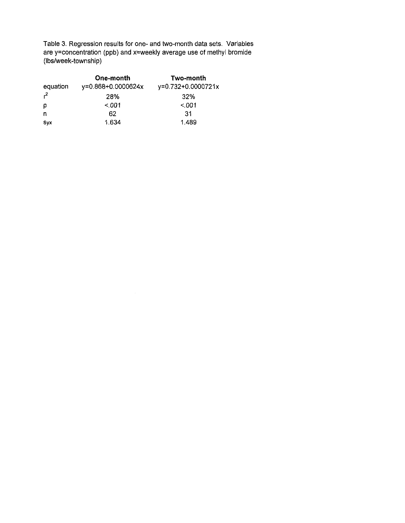Table 3. Regression results for one- and two-month data sets. Variables are y=concentration (ppb) and x=weekly average **use** of methyl bromide (Ibs/week-township)

|          | One-month          | Two-month          |
|----------|--------------------|--------------------|
| equation | y=0.868+0.0000624x | y=0.732+0.0000721x |
| $r^2$    | 28%                | 32%                |
| p        | $~<$ 001           | < 001              |
| n        | 62                 | -31                |
| Svx      | 1.634              | 1.489              |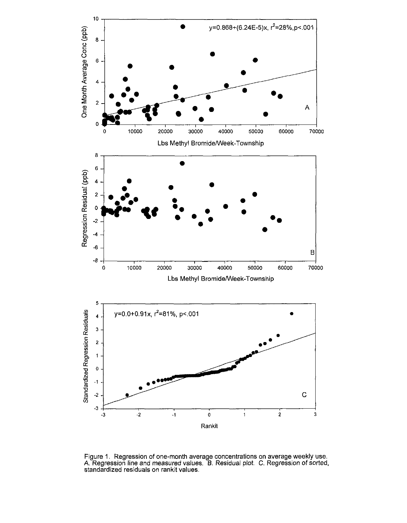

Figure 1. Regression of one-month average concentrations on average weekly use. *A.* Regression line and measured values. *B.* Residual plot. C. Regression of sorted, standardized residuals on rankit values.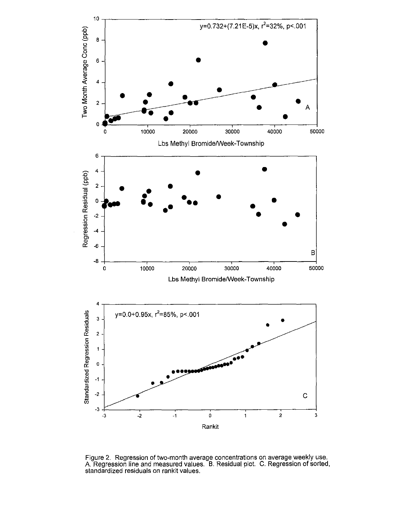

Figure 2. Regression of two-month average concentrations on average,weekly **use.**  A. Regression line and measured values. B. Residual plot. C. Regression of sorted, standardized residuals on rankit values.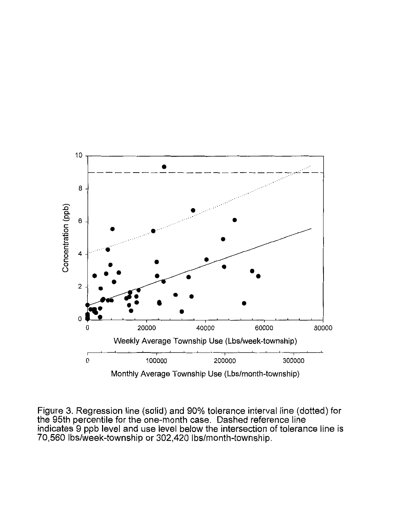

Figure 3. Regression line (solid) and 90% tolerance interval line (dotted) for the 95th percentile for the one-month case. Dashed reference line indicates 9 ppb level and use level below the intersection of tolerance line is 70,560 Ibs/week-township or 302,420 Ibs/month-township.